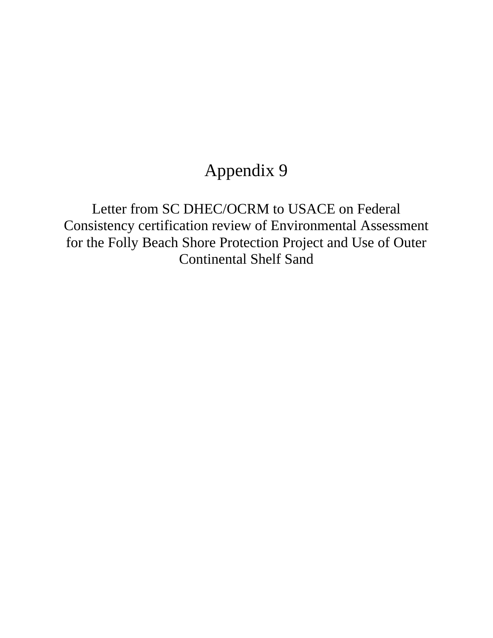## Appendix 9

Letter from SC DHEC/OCRM to USACE on Federal Consistency certification review of Environmental Assessment for the Folly Beach Shore Protection Project and Use of Outer Continental Shelf Sand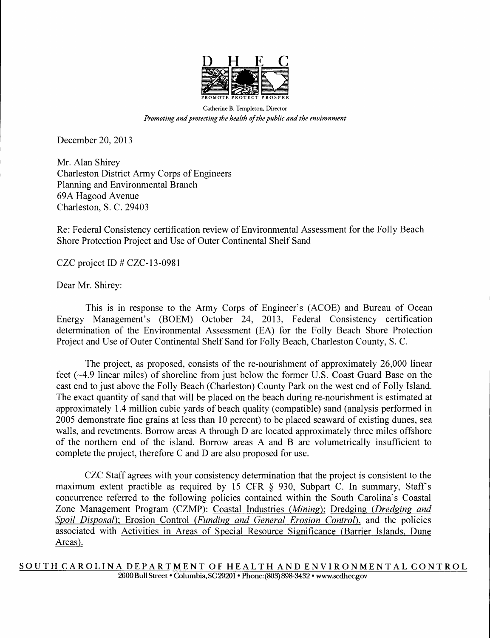

Catherine B. Templeton, Director *Promoting and protecting the health of the public and the environment* 

December 20, 2013

Mr. Alan Shirey Charleston District Army Corps of Engineers Planning and Environmental Branch 69A Hagood Avenue Charleston, S. C. 29403

Re: Federal Consistency certification review of Environmental Assessment for the Folly Beach Shore Protection Project and Use of Outer Continental Shelf Sand

CZC project ID # CZC-13-0981

Dear Mr. Shirey:

This is in response to the Army Corps of Engineer's (ACOE) and Bureau of Ocean Energy Management's (BOEM) October 24, 2013, Federal Consistency certification determination of the Environmental Assessment (EA) for the Folly Beach Shore Protection Project and Use of Outer Continental Shelf Sand for Folly Beach, Charleston County, S. C.

The project, as proposed, consists of the re-nourishment of approximately 26,000 linear feet (~4.9 linear miles) of shoreline from just below the former U.S. Coast Guard Base on the east end to just above the Folly Beach (Charleston) County Park on the west end of Folly Island. The exact quantity of sand that will be placed on the beach during re-nourishment is estimated at approximately 1.4 million cubic yards of beach quality (compatible) sand (analysis performed in 2005 demonstrate fine grains at less than 10 percent) to be placed seaward of existing dunes, sea walls, and revetments. Borrow areas A through D are located approximately three miles offshore of the northern end of the island. Borrow areas A and B are volumetrically insufficient to complete the project, therefore C and D are also proposed for use.

CZC Staff agrees with your consistency determination that the project is consistent to the maximum extent practible as required by 15 CFR § 930, Subpart C. In summary, Staff's concurrence referred to the following policies contained within the South Carolina's Coastal Zone Management Program (CZMP): Coastal Industries *(Mining);* Dredging *(Dredging and Spoil Disposal);* Erosion Control *(Funding and General Erosion Control),* and the policies associated with Activities in Areas of Special Resource Significance (Barrier Islands, Dune Areas).

**SOUTH CAROLINA DEPARTMENT OF HEALTH AND ENVIRONMENTAL CONTROL**  2600 Bull Street • Columbia, SC 29201 • Phone: (803) 898-3432 • wwwscdhec.gov